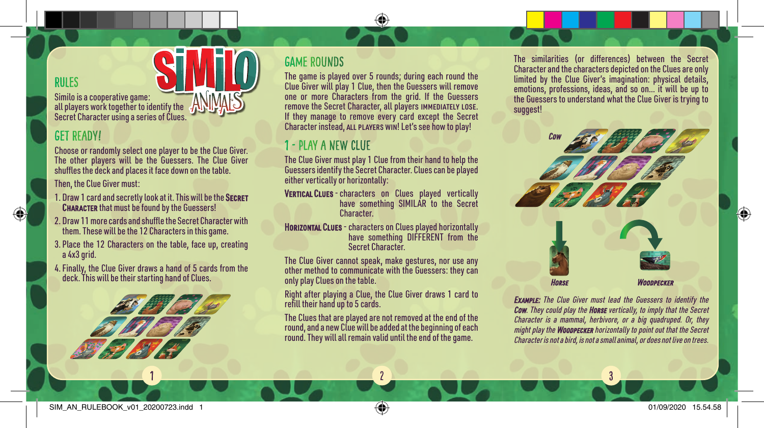### RULES

Similo is a cooperative game: all players work together to identify the Secret Character using a series of Clues.

## Get Ready!

Choose or randomly select one player to be the Clue Giver. The other players will be the Guessers. The Clue Giver shuffles the deck and places it face down on the table.

Then, the Clue Giver must:

- 1. Draw 1 card and secretly look at it. This will be the SECRET **CHARACTER** that must be found by the Guessers!
- 2. Draw 11 more cards and shuffle the Secret Character with them. These will be the 12 Characters in this game.
- 3. Place the 12 Characters on the table, face up, creating a 4x3 grid.
- 4. Finally, the Clue Giver draws a hand of 5 cards from the deck. This will be their starting hand of Clues.



1

### GAME ROUNDs

The game is played over 5 rounds; during each round the Clue Giver will play 1 Clue, then the Guessers will remove one or more Characters from the grid. If the Guessers remove the Secret Character, all players immediately lose. If they manage to remove every card except the Secret Character instead, all players win! Let's see how to play!

# 1 - play a new clue

The Clue Giver must play 1 Clue from their hand to help the Guessers identify the Secret Character. Clues can be played either vertically or horizontally:

- VERTICAL CLUES characters on Clues played vertically have something SIMILAR to the Secret Character.
- **Horizontal Clues** characters on Clues played horizontally have something DIFFERENT from the Secret Character.

The Clue Giver cannot speak, make gestures, nor use any other method to communicate with the Guessers: they can only play Clues on the table.

Right after playing a Clue, the Clue Giver draws 1 card to refill their hand up to 5 cards.

The Clues that are played are not removed at the end of the round, and a new Clue will be added at the beginning of each round. They will all remain valid until the end of the game.

2

The similarities (or differences) between the Secret Character and the characters depicted on the Clues are only limited by the Clue Giver's imagination: physical details, emotions, professions, ideas, and so on… it will be up to the Guessers to understand what the Clue Giver is trying to suggest!



Example: The Clue Giver must lead the Guessers to identify the **Cow.** They could play the **Horse** vertically, to imply that the Secret Character is a mammal, herbivore, or a big quadruped. Or, they might play the **WoodPECKER** horizontally to point out that the Secret Character is not a bird, is not a small animal, or does not live on trees.

3